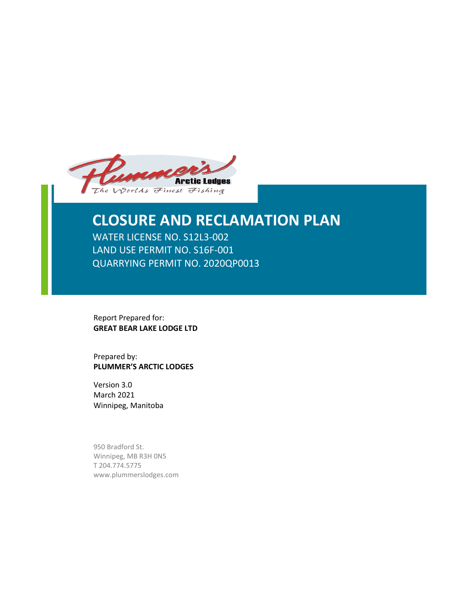

# **CLOSURE AND RECLAMATION PLAN**

WATER LICENSE NO. S12L3-002 LAND USE PERMIT NO. S16F-001 QUARRYING PERMIT NO. 2020QP0013

Report Prepared for: **GREAT BEAR LAKE LODGE LTD**

Prepared by: **PLUMMER'S ARCTIC LODGES**

Version 3.0 March 2021 Winnipeg, Manitoba

950 Bradford St. Winnipeg, MB R3H 0N5 T 204.774.5775 www.plummerslodges.com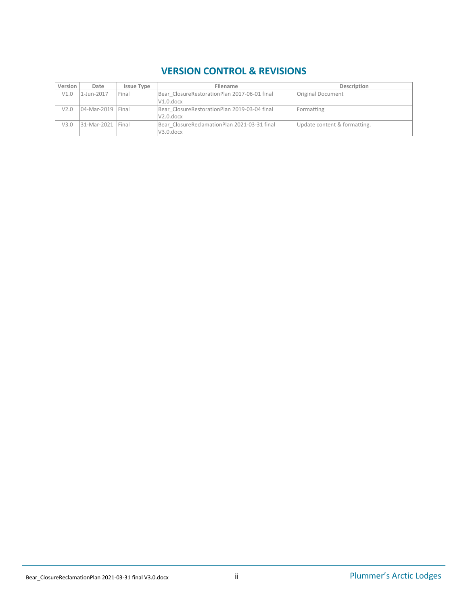# **VERSION CONTROL & REVISIONS**

| Version | Date                | <b>Issue Type</b> | Filename                                     | Description                  |
|---------|---------------------|-------------------|----------------------------------------------|------------------------------|
| V1.0    | 1-Jun-2017          | <b>Final</b>      | Bear ClosureRestorationPlan 2017-06-01 final | Original Document            |
|         |                     |                   | $V1.0.$ docx                                 |                              |
| V2.0    | 04-Mar-2019 Final   |                   | Bear ClosureRestorationPlan 2019-03-04 final | Formatting                   |
|         |                     |                   | $V2.0.$ docx                                 |                              |
| V3.0    | 31-Mar-2021   Final |                   | Bear ClosureReclamationPlan 2021-03-31 final | Update content & formatting. |
|         |                     |                   | V3.0.docx                                    |                              |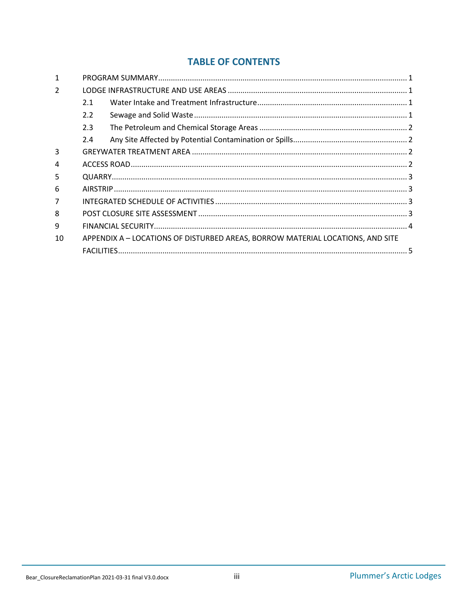#### **TABLE OF CONTENTS**

| 2.1           |  |                                                                                |  |
|---------------|--|--------------------------------------------------------------------------------|--|
| $2.2^{\circ}$ |  |                                                                                |  |
| 2.3           |  |                                                                                |  |
| 2.4           |  |                                                                                |  |
|               |  |                                                                                |  |
|               |  |                                                                                |  |
|               |  |                                                                                |  |
|               |  |                                                                                |  |
|               |  |                                                                                |  |
|               |  |                                                                                |  |
|               |  |                                                                                |  |
|               |  |                                                                                |  |
|               |  |                                                                                |  |
|               |  | APPENDIX A - LOCATIONS OF DISTURBED AREAS, BORROW MATERIAL LOCATIONS, AND SITE |  |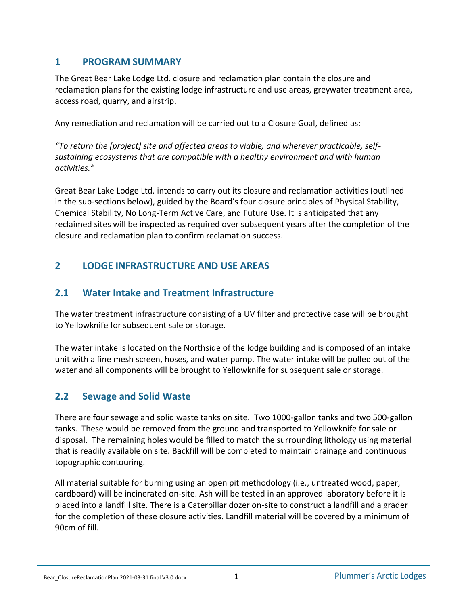#### <span id="page-3-0"></span>**1 PROGRAM SUMMARY**

The Great Bear Lake Lodge Ltd. closure and reclamation plan contain the closure and reclamation plans for the existing lodge infrastructure and use areas, greywater treatment area, access road, quarry, and airstrip.

Any remediation and reclamation will be carried out to a Closure Goal, defined as:

*"To return the [project] site and affected areas to viable, and wherever practicable, selfsustaining ecosystems that are compatible with a healthy environment and with human activities."*

Great Bear Lake Lodge Ltd. intends to carry out its closure and reclamation activities (outlined in the sub-sections below), guided by the Board's four closure principles of Physical Stability, Chemical Stability, No Long-Term Active Care, and Future Use. It is anticipated that any reclaimed sites will be inspected as required over subsequent years after the completion of the closure and reclamation plan to confirm reclamation success.

# <span id="page-3-1"></span>**2 LODGE INFRASTRUCTURE AND USE AREAS**

# <span id="page-3-2"></span>**2.1 Water Intake and Treatment Infrastructure**

The water treatment infrastructure consisting of a UV filter and protective case will be brought to Yellowknife for subsequent sale or storage.

The water intake is located on the Northside of the lodge building and is composed of an intake unit with a fine mesh screen, hoses, and water pump. The water intake will be pulled out of the water and all components will be brought to Yellowknife for subsequent sale or storage.

# <span id="page-3-3"></span>**2.2 Sewage and Solid Waste**

There are four sewage and solid waste tanks on site. Two 1000-gallon tanks and two 500-gallon tanks. These would be removed from the ground and transported to Yellowknife for sale or disposal. The remaining holes would be filled to match the surrounding lithology using material that is readily available on site. Backfill will be completed to maintain drainage and continuous topographic contouring.

All material suitable for burning using an open pit methodology (i.e., untreated wood, paper, cardboard) will be incinerated on-site. Ash will be tested in an approved laboratory before it is placed into a landfill site. There is a Caterpillar dozer on-site to construct a landfill and a grader for the completion of these closure activities. Landfill material will be covered by a minimum of 90cm of fill.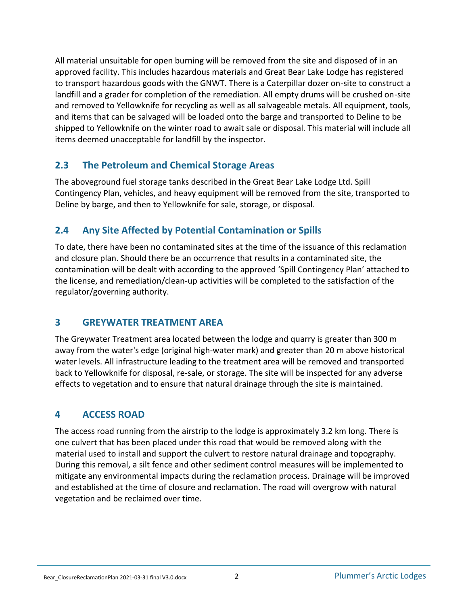All material unsuitable for open burning will be removed from the site and disposed of in an approved facility. This includes hazardous materials and Great Bear Lake Lodge has registered to transport hazardous goods with the GNWT. There is a Caterpillar dozer on-site to construct a landfill and a grader for completion of the remediation. All empty drums will be crushed on-site and removed to Yellowknife for recycling as well as all salvageable metals. All equipment, tools, and items that can be salvaged will be loaded onto the barge and transported to Deline to be shipped to Yellowknife on the winter road to await sale or disposal. This material will include all items deemed unacceptable for landfill by the inspector.

#### <span id="page-4-0"></span>**2.3 The Petroleum and Chemical Storage Areas**

The aboveground fuel storage tanks described in the Great Bear Lake Lodge Ltd. Spill Contingency Plan, vehicles, and heavy equipment will be removed from the site, transported to Deline by barge, and then to Yellowknife for sale, storage, or disposal.

# <span id="page-4-1"></span>**2.4 Any Site Affected by Potential Contamination or Spills**

To date, there have been no contaminated sites at the time of the issuance of this reclamation and closure plan. Should there be an occurrence that results in a contaminated site, the contamination will be dealt with according to the approved 'Spill Contingency Plan' attached to the license, and remediation/clean-up activities will be completed to the satisfaction of the regulator/governing authority.

#### <span id="page-4-2"></span>**3 GREYWATER TREATMENT AREA**

The Greywater Treatment area located between the lodge and quarry is greater than 300 m away from the water's edge (original high-water mark) and greater than 20 m above historical water levels. All infrastructure leading to the treatment area will be removed and transported back to Yellowknife for disposal, re-sale, or storage. The site will be inspected for any adverse effects to vegetation and to ensure that natural drainage through the site is maintained.

#### <span id="page-4-3"></span>**4 ACCESS ROAD**

The access road running from the airstrip to the lodge is approximately 3.2 km long. There is one culvert that has been placed under this road that would be removed along with the material used to install and support the culvert to restore natural drainage and topography. During this removal, a silt fence and other sediment control measures will be implemented to mitigate any environmental impacts during the reclamation process. Drainage will be improved and established at the time of closure and reclamation. The road will overgrow with natural vegetation and be reclaimed over time.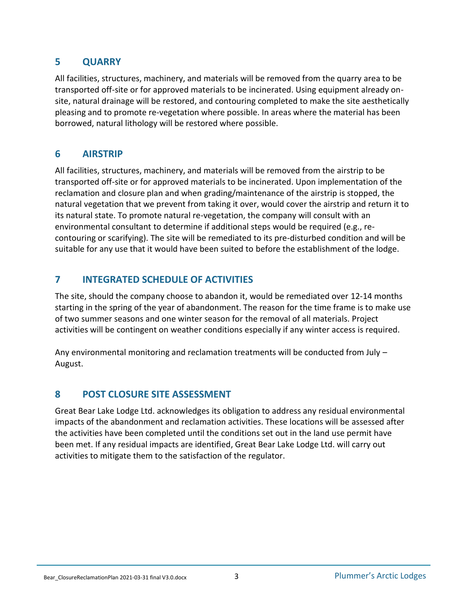#### <span id="page-5-0"></span>**5 QUARRY**

All facilities, structures, machinery, and materials will be removed from the quarry area to be transported off-site or for approved materials to be incinerated. Using equipment already onsite, natural drainage will be restored, and contouring completed to make the site aesthetically pleasing and to promote re-vegetation where possible. In areas where the material has been borrowed, natural lithology will be restored where possible.

#### <span id="page-5-1"></span>**6 AIRSTRIP**

All facilities, structures, machinery, and materials will be removed from the airstrip to be transported off-site or for approved materials to be incinerated. Upon implementation of the reclamation and closure plan and when grading/maintenance of the airstrip is stopped, the natural vegetation that we prevent from taking it over, would cover the airstrip and return it to its natural state. To promote natural re-vegetation, the company will consult with an environmental consultant to determine if additional steps would be required (e.g., recontouring or scarifying). The site will be remediated to its pre-disturbed condition and will be suitable for any use that it would have been suited to before the establishment of the lodge.

### <span id="page-5-2"></span>**7 INTEGRATED SCHEDULE OF ACTIVITIES**

The site, should the company choose to abandon it, would be remediated over 12-14 months starting in the spring of the year of abandonment. The reason for the time frame is to make use of two summer seasons and one winter season for the removal of all materials. Project activities will be contingent on weather conditions especially if any winter access is required.

Any environmental monitoring and reclamation treatments will be conducted from July – August.

# <span id="page-5-3"></span>**8 POST CLOSURE SITE ASSESSMENT**

Great Bear Lake Lodge Ltd. acknowledges its obligation to address any residual environmental impacts of the abandonment and reclamation activities. These locations will be assessed after the activities have been completed until the conditions set out in the land use permit have been met. If any residual impacts are identified, Great Bear Lake Lodge Ltd. will carry out activities to mitigate them to the satisfaction of the regulator.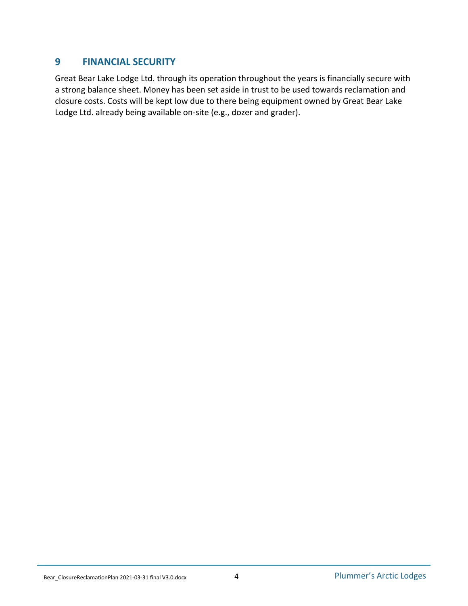#### <span id="page-6-0"></span>**9 FINANCIAL SECURITY**

Great Bear Lake Lodge Ltd. through its operation throughout the years is financially secure with a strong balance sheet. Money has been set aside in trust to be used towards reclamation and closure costs. Costs will be kept low due to there being equipment owned by Great Bear Lake Lodge Ltd. already being available on-site (e.g., dozer and grader).